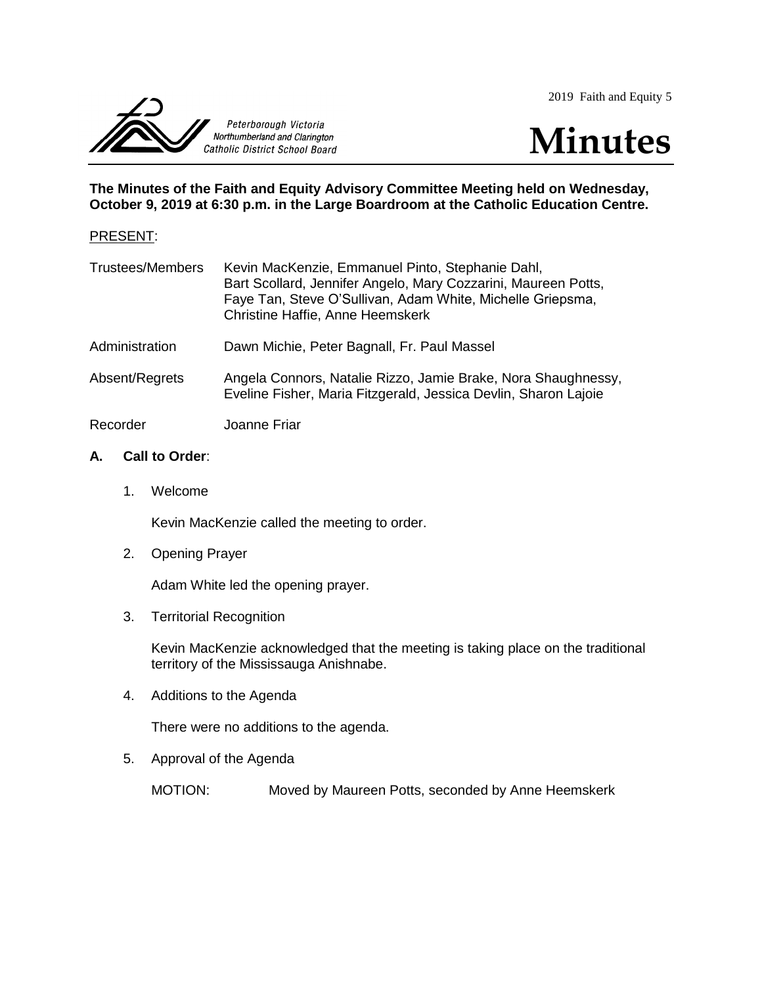2019 Faith and Equity 5





**The Minutes of the Faith and Equity Advisory Committee Meeting held on Wednesday, October 9, 2019 at 6:30 p.m. in the Large Boardroom at the Catholic Education Centre.**

#### PRESENT:

| <b>Trustees/Members</b> | Kevin MacKenzie, Emmanuel Pinto, Stephanie Dahl,<br>Bart Scollard, Jennifer Angelo, Mary Cozzarini, Maureen Potts,<br>Faye Tan, Steve O'Sullivan, Adam White, Michelle Griepsma,<br><b>Christine Haffie, Anne Heemskerk</b> |
|-------------------------|-----------------------------------------------------------------------------------------------------------------------------------------------------------------------------------------------------------------------------|
| Administration          | Dawn Michie, Peter Bagnall, Fr. Paul Massel                                                                                                                                                                                 |
| Absent/Regrets          | Angela Connors, Natalie Rizzo, Jamie Brake, Nora Shaughnessy,<br>Eveline Fisher, Maria Fitzgerald, Jessica Devlin, Sharon Lajoie                                                                                            |
| Recorder                | Joanne Friar                                                                                                                                                                                                                |

## **A. Call to Order**:

1. Welcome

Kevin MacKenzie called the meeting to order.

2. Opening Prayer

Adam White led the opening prayer.

3. Territorial Recognition

Kevin MacKenzie acknowledged that the meeting is taking place on the traditional territory of the Mississauga Anishnabe.

4. Additions to the Agenda

There were no additions to the agenda.

5. Approval of the Agenda

MOTION: Moved by Maureen Potts, seconded by Anne Heemskerk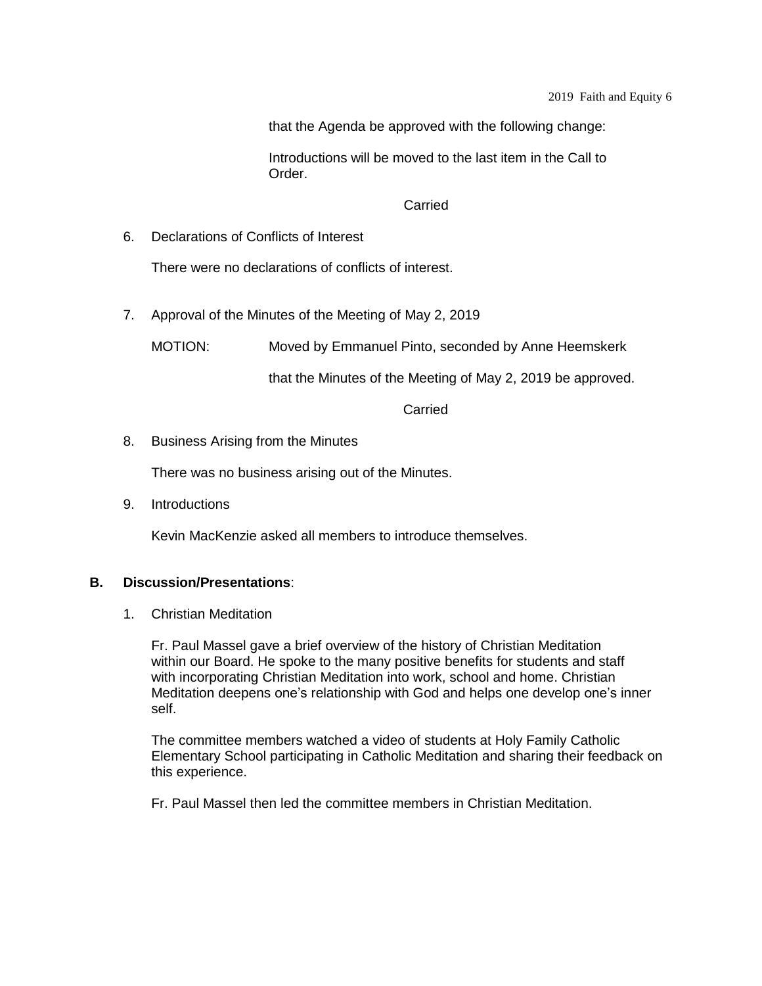that the Agenda be approved with the following change:

Introductions will be moved to the last item in the Call to Order.

#### Carried

6. Declarations of Conflicts of Interest

There were no declarations of conflicts of interest.

7. Approval of the Minutes of the Meeting of May 2, 2019

MOTION: Moved by Emmanuel Pinto, seconded by Anne Heemskerk

that the Minutes of the Meeting of May 2, 2019 be approved.

**Carried** 

8. Business Arising from the Minutes

There was no business arising out of the Minutes.

9. Introductions

Kevin MacKenzie asked all members to introduce themselves.

## **B. Discussion/Presentations**:

1. Christian Meditation

Fr. Paul Massel gave a brief overview of the history of Christian Meditation within our Board. He spoke to the many positive benefits for students and staff with incorporating Christian Meditation into work, school and home. Christian Meditation deepens one's relationship with God and helps one develop one's inner self.

The committee members watched a video of students at Holy Family Catholic Elementary School participating in Catholic Meditation and sharing their feedback on this experience.

Fr. Paul Massel then led the committee members in Christian Meditation.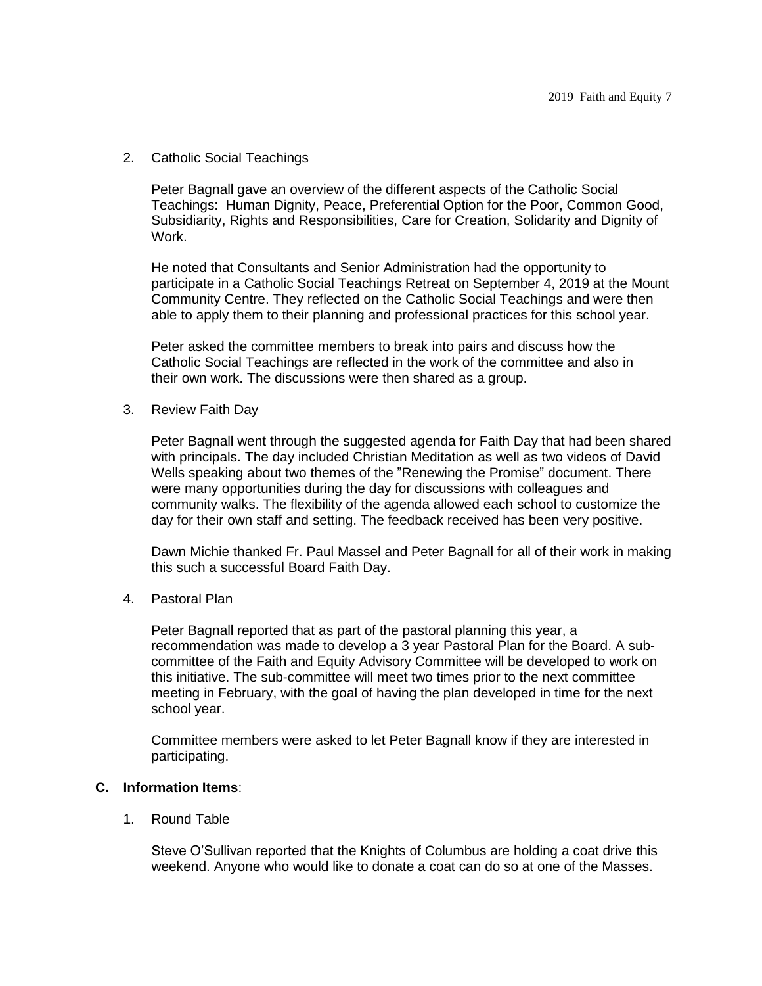2. Catholic Social Teachings

Peter Bagnall gave an overview of the different aspects of the Catholic Social Teachings: Human Dignity, Peace, Preferential Option for the Poor, Common Good, Subsidiarity, Rights and Responsibilities, Care for Creation, Solidarity and Dignity of Work.

He noted that Consultants and Senior Administration had the opportunity to participate in a Catholic Social Teachings Retreat on September 4, 2019 at the Mount Community Centre. They reflected on the Catholic Social Teachings and were then able to apply them to their planning and professional practices for this school year.

Peter asked the committee members to break into pairs and discuss how the Catholic Social Teachings are reflected in the work of the committee and also in their own work. The discussions were then shared as a group.

3. Review Faith Day

Peter Bagnall went through the suggested agenda for Faith Day that had been shared with principals. The day included Christian Meditation as well as two videos of David Wells speaking about two themes of the "Renewing the Promise" document. There were many opportunities during the day for discussions with colleagues and community walks. The flexibility of the agenda allowed each school to customize the day for their own staff and setting. The feedback received has been very positive.

Dawn Michie thanked Fr. Paul Massel and Peter Bagnall for all of their work in making this such a successful Board Faith Day.

4. Pastoral Plan

Peter Bagnall reported that as part of the pastoral planning this year, a recommendation was made to develop a 3 year Pastoral Plan for the Board. A subcommittee of the Faith and Equity Advisory Committee will be developed to work on this initiative. The sub-committee will meet two times prior to the next committee meeting in February, with the goal of having the plan developed in time for the next school year.

Committee members were asked to let Peter Bagnall know if they are interested in participating.

# **C. Information Items**:

1. Round Table

Steve O'Sullivan reported that the Knights of Columbus are holding a coat drive this weekend. Anyone who would like to donate a coat can do so at one of the Masses.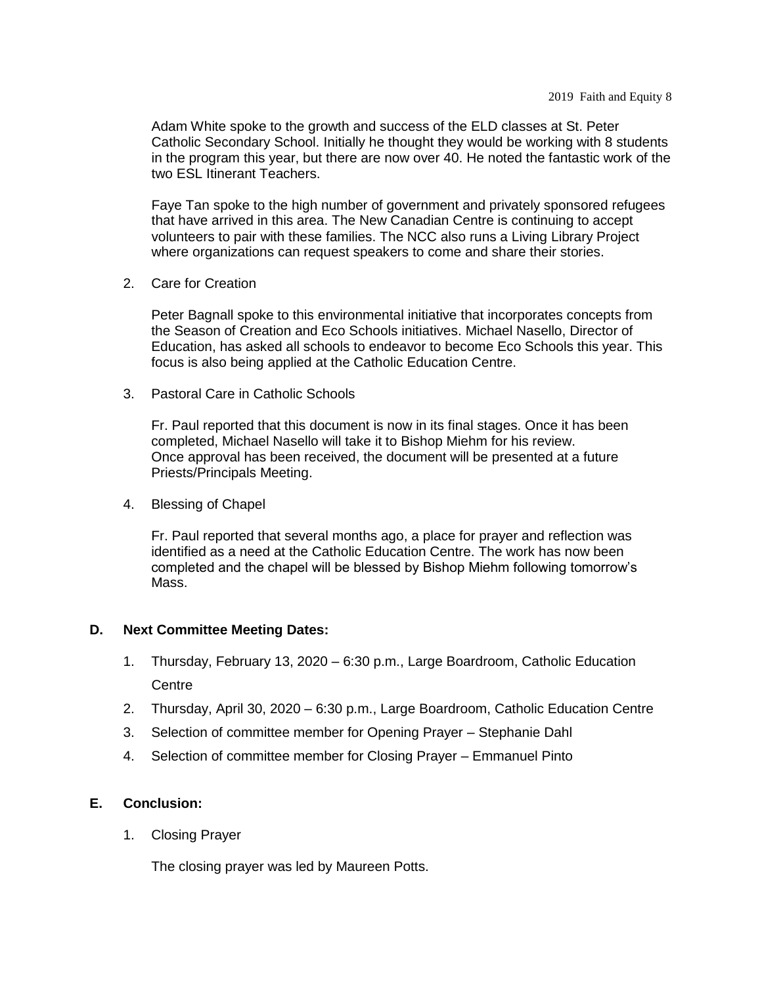Adam White spoke to the growth and success of the ELD classes at St. Peter Catholic Secondary School. Initially he thought they would be working with 8 students in the program this year, but there are now over 40. He noted the fantastic work of the two ESL Itinerant Teachers.

Faye Tan spoke to the high number of government and privately sponsored refugees that have arrived in this area. The New Canadian Centre is continuing to accept volunteers to pair with these families. The NCC also runs a Living Library Project where organizations can request speakers to come and share their stories.

2. Care for Creation

Peter Bagnall spoke to this environmental initiative that incorporates concepts from the Season of Creation and Eco Schools initiatives. Michael Nasello, Director of Education, has asked all schools to endeavor to become Eco Schools this year. This focus is also being applied at the Catholic Education Centre.

3. Pastoral Care in Catholic Schools

Fr. Paul reported that this document is now in its final stages. Once it has been completed, Michael Nasello will take it to Bishop Miehm for his review. Once approval has been received, the document will be presented at a future Priests/Principals Meeting.

4. Blessing of Chapel

Fr. Paul reported that several months ago, a place for prayer and reflection was identified as a need at the Catholic Education Centre. The work has now been completed and the chapel will be blessed by Bishop Miehm following tomorrow's Mass.

# **D. Next Committee Meeting Dates:**

- 1. Thursday, February 13, 2020 6:30 p.m., Large Boardroom, Catholic Education **Centre**
- 2. Thursday, April 30, 2020 6:30 p.m., Large Boardroom, Catholic Education Centre
- 3. Selection of committee member for Opening Prayer Stephanie Dahl
- 4. Selection of committee member for Closing Prayer Emmanuel Pinto

# **E. Conclusion:**

1. Closing Prayer

The closing prayer was led by Maureen Potts.